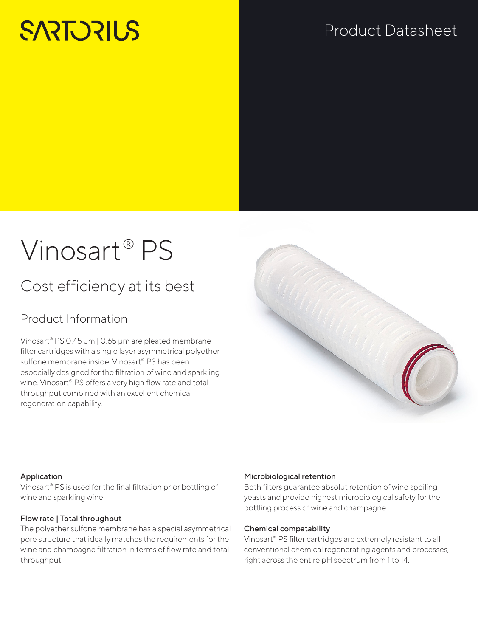# **SARTORILS**

## Product Datasheet

# Vinosart® PS

## Cost efficiency at its best

### Product Information

Vinosart® PS 0.45 μm | 0.65 μm are pleated membrane filter cartridges with a single layer asymmetrical polyether sulfone membrane inside. Vinosart® PS has been especially designed for the filtration of wine and sparkling wine. Vinosart® PS offers a very high flow rate and total throughput combined with an excellent chemical regeneration capability.



#### Application

Vinosart® PS is used for the final filtration prior bottling of wine and sparkling wine.

#### Flow rate | Total throughput

The polyether sulfone membrane has a special asymmetrical pore structure that ideally matches the requirements for the wine and champagne filtration in terms of flow rate and total throughput.

#### Microbiological retention

Both filters guarantee absolut retention of wine spoiling yeasts and provide highest microbiological safety for the bottling process of wine and champagne.

#### Chemical compatability

Vinosart® PS filter cartridges are extremely resistant to all conventional chemical regenerating agents and processes, right across the entire pH spectrum from 1 to 14.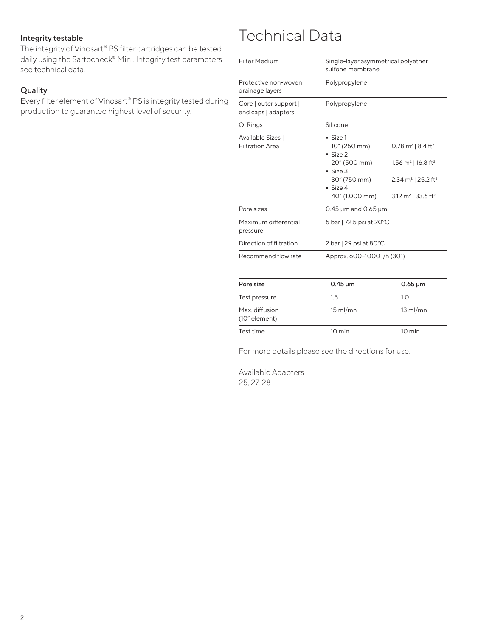#### Integrity testable

The integrity of Vinosart® PS filter cartridges can be tested daily using the Sartocheck® Mini. Integrity test parameters see technical data.

#### Quality

Every filter element of Vinosart® PS is integrity tested during production to guarantee highest level of security.

## Technical Data

| <b>Filter Medium</b>                          | Single-layer asymmetrical polyether<br>sulfone membrane                                                |                                                                                                                                                                   |
|-----------------------------------------------|--------------------------------------------------------------------------------------------------------|-------------------------------------------------------------------------------------------------------------------------------------------------------------------|
| Protective non-woven<br>drainage layers       | Polypropylene                                                                                          |                                                                                                                                                                   |
| Core   outer support  <br>end caps   adapters | Polypropylene                                                                                          |                                                                                                                                                                   |
| O-Rings                                       | Silicone                                                                                               |                                                                                                                                                                   |
| Available Sizes  <br><b>Filtration Area</b>   | Size 1<br>10" (250 mm)<br>Size 2<br>20" (500 mm)<br>Size 3<br>30" (750 mm)<br>Size 4<br>40" (1.000 mm) | 0.78 m <sup>2</sup>   8.4 ft <sup>2</sup><br>1.56 $m^2$   16.8 ft <sup>2</sup><br>2.34 m <sup>2</sup>   25.2 ft <sup>2</sup><br>3.12 $m^2$   33.6 ft <sup>2</sup> |
| Pore sizes                                    | 0.45 $\mu$ m and 0.65 $\mu$ m                                                                          |                                                                                                                                                                   |
| Maximum differential<br>pressure              | 5 bar   72.5 psi at 20°C                                                                               |                                                                                                                                                                   |
| Direction of filtration                       | $2 \text{ bar}$   29 psi at 80 $^{\circ}$ C                                                            |                                                                                                                                                                   |
| Recommend flow rate                           | Approx. 600-1000 l/h (30")                                                                             |                                                                                                                                                                   |
| Pore size                                     | $0.45 \,\mathrm{\upmu m}$                                                                              | $0.65 \,\mathrm{\upmu m}$                                                                                                                                         |
| Test pressure                                 | 1.5                                                                                                    | 1.0                                                                                                                                                               |
| Max. diffusion<br>(10" element)               | $15$ ml/mn                                                                                             | $13$ ml/mn                                                                                                                                                        |
| Test time                                     | $10 \text{ min}$                                                                                       | 10 min                                                                                                                                                            |

For more details please see the directions for use.

Available Adapters 25, 27, 28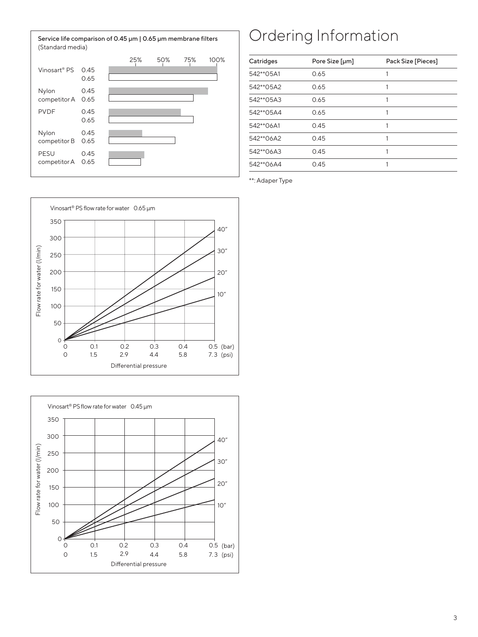

## Ordering Information

| Catridges | Pore Size [µm] | Pack Size [Pieces] |
|-----------|----------------|--------------------|
| 542**05A1 | 0.65           |                    |
| 542**05A2 | 0.65           |                    |
| 542**05A3 | 0.65           |                    |
| 542**05A4 | 0.65           |                    |
| 542**06A1 | 0.45           |                    |
| 542**06A2 | 0.45           |                    |
| 542**06A3 | 0.45           |                    |
| 542**06A4 | 0.45           |                    |

\*\*: Adaper Type